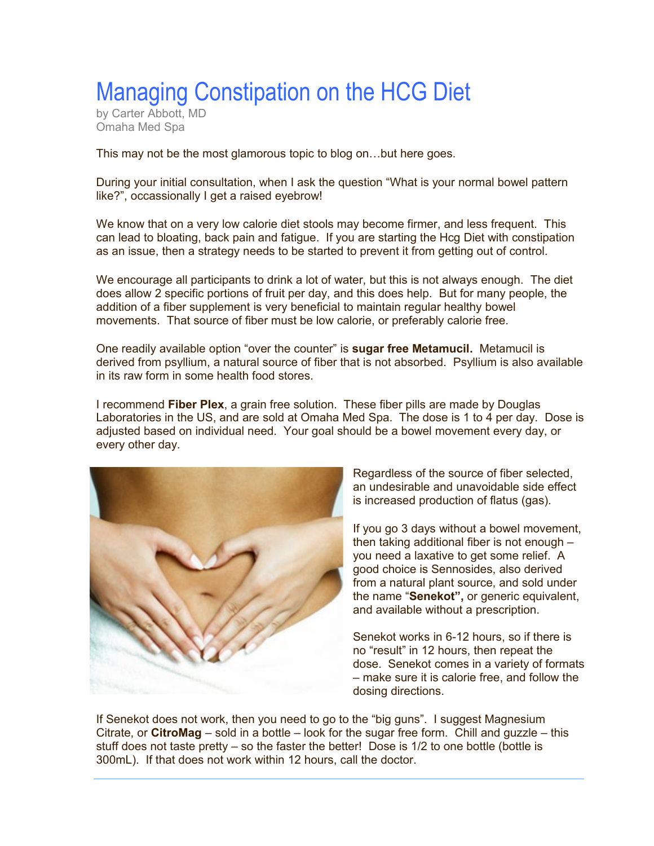## Managing Constipation on the HCG Diet

by Carter Abbott, MD Omaha Med Spa

This may not be the most glamorous topic to blog on…but here goes.

During your initial consultation, when I ask the question "What is your normal bowel pattern like?", occassionally I get a raised eyebrow!

We know that on a very low calorie diet stools may become firmer, and less frequent. This can lead to bloating, back pain and fatigue. If you are starting the Hcg Diet with constipation as an issue, then a strategy needs to be started to prevent it from getting out of control.

We encourage all participants to drink a lot of water, but this is not always enough. The diet does allow 2 specific portions of fruit per day, and this does help. But for many people, the addition of a fiber supplement is very beneficial to maintain regular healthy bowel movements. That source of fiber must be low calorie, or preferably calorie free.

One readily available option "over the counter" is **sugar free Metamucil.** Metamucil is derived from psyllium, a natural source of fiber that is not absorbed. Psyllium is also available in its raw form in some health food stores.

I recommend **Fiber Plex**, a grain free solution. These fiber pills are made by Douglas Laboratories in the US, and are sold at Omaha Med Spa. The dose is 1 to 4 per day. Dose is adjusted based on individual need. Your goal should be a bowel movement every day, or every other day.



Regardless of the source of fiber selected, an undesirable and unavoidable side effect is increased production of flatus (gas).

If you go 3 days without a bowel movement, then taking additional fiber is not enough – you need a laxative to get some relief. A good choice is Sennosides, also derived from a natural plant source, and sold under the name "**Senekot",** or generic equivalent, and available without a prescription.

Senekot works in 6-12 hours, so if there is no "result" in 12 hours, then repeat the dose. Senekot comes in a variety of formats – make sure it is calorie free, and follow the dosing directions.

If Senekot does not work, then you need to go to the "big guns". I suggest Magnesium Citrate, or **CitroMag** – sold in a bottle – look for the sugar free form. Chill and guzzle – this stuff does not taste pretty – so the faster the better! Dose is 1/2 to one bottle (bottle is 300mL). If that does not work within 12 hours, call the doctor.